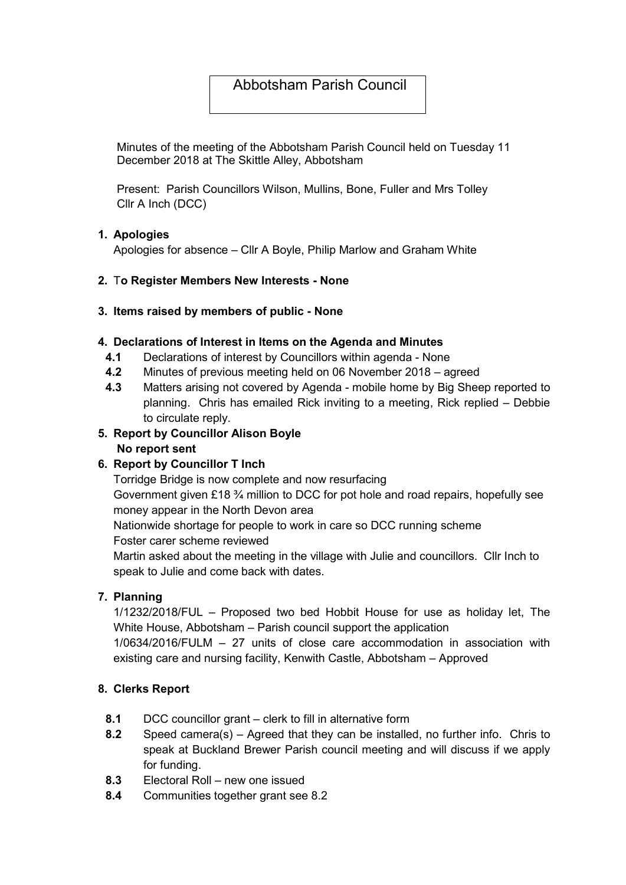# Abbotsham Parish Council

Minutes of the meeting of the Abbotsham Parish Council held on Tuesday 11 December 2018 at The Skittle Alley, Abbotsham

Present: Parish Councillors Wilson, Mullins, Bone, Fuller and Mrs Tolley Cllr A Inch (DCC)

#### 1. Apologies

Apologies for absence – Cllr A Boyle, Philip Marlow and Graham White

#### 2. To Register Members New Interests - None

#### 3. Items raised by members of public - None

#### 4. Declarations of Interest in Items on the Agenda and Minutes

- 4.1 Declarations of interest by Councillors within agenda None
- 4.2 Minutes of previous meeting held on 06 November 2018 agreed
- 4.3 Matters arising not covered by Agenda mobile home by Big Sheep reported to planning. Chris has emailed Rick inviting to a meeting, Rick replied – Debbie to circulate reply.

#### 5. Report by Councillor Alison Boyle No report sent

# 6. Report by Councillor T Inch

Torridge Bridge is now complete and now resurfacing

Government given £18 ¾ million to DCC for pot hole and road repairs, hopefully see money appear in the North Devon area

Nationwide shortage for people to work in care so DCC running scheme

Foster carer scheme reviewed

Martin asked about the meeting in the village with Julie and councillors. Cllr Inch to speak to Julie and come back with dates.

# 7. Planning

1/1232/2018/FUL – Proposed two bed Hobbit House for use as holiday let, The White House, Abbotsham – Parish council support the application

1/0634/2016/FULM – 27 units of close care accommodation in association with existing care and nursing facility, Kenwith Castle, Abbotsham – Approved

#### 8. Clerks Report

- 8.1 DCC councillor grant clerk to fill in alternative form
- 8.2 Speed camera(s) Agreed that they can be installed, no further info. Chris to speak at Buckland Brewer Parish council meeting and will discuss if we apply for funding.
- 8.3 Electoral Roll new one issued
- 8.4 Communities together grant see 8.2